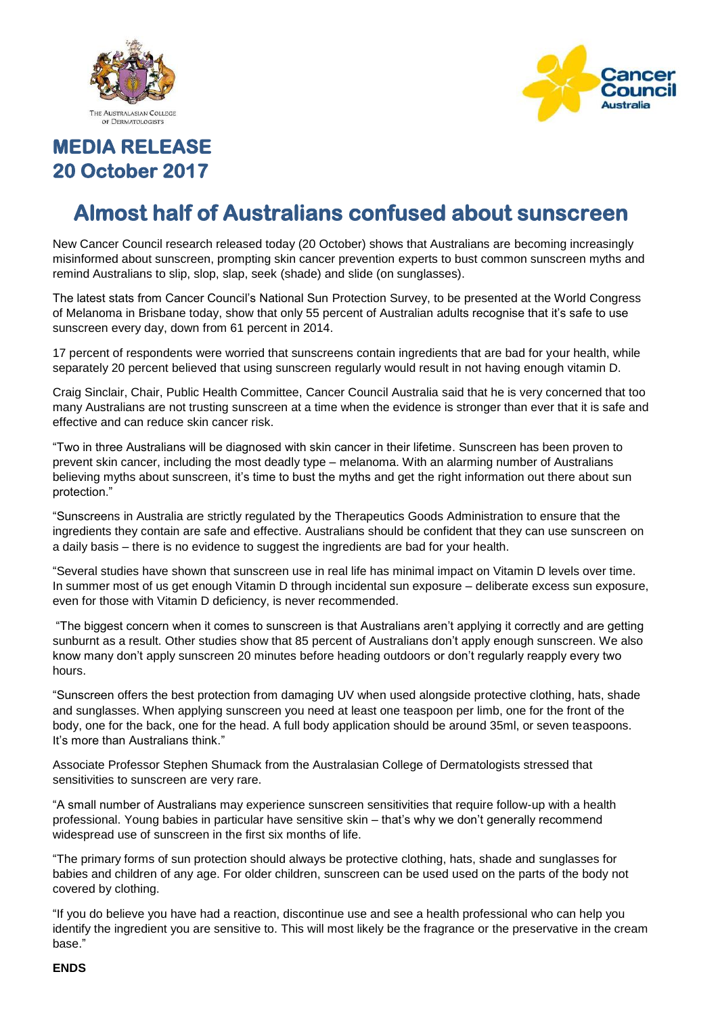



# **MEDIA RELEASE 20 October 2017**

# **Almost half of Australians confused about sunscreen**

New Cancer Council research released today (20 October) shows that Australians are becoming increasingly misinformed about sunscreen, prompting skin cancer prevention experts to bust common sunscreen myths and remind Australians to slip, slop, slap, seek (shade) and slide (on sunglasses).

The latest stats from Cancer Council's National Sun Protection Survey, to be presented at the World Congress of Melanoma in Brisbane today, show that only 55 percent of Australian adults recognise that it's safe to use sunscreen every day, down from 61 percent in 2014.

17 percent of respondents were worried that sunscreens contain ingredients that are bad for your health, while separately 20 percent believed that using sunscreen regularly would result in not having enough vitamin D.

Craig Sinclair, Chair, Public Health Committee, Cancer Council Australia said that he is very concerned that too many Australians are not trusting sunscreen at a time when the evidence is stronger than ever that it is safe and effective and can reduce skin cancer risk.

"Two in three Australians will be diagnosed with skin cancer in their lifetime. Sunscreen has been proven to prevent skin cancer, including the most deadly type – melanoma. With an alarming number of Australians believing myths about sunscreen, it's time to bust the myths and get the right information out there about sun protection."

"Sunscreens in Australia are strictly regulated by the Therapeutics Goods Administration to ensure that the ingredients they contain are safe and effective. Australians should be confident that they can use sunscreen on a daily basis – there is no evidence to suggest the ingredients are bad for your health.

"Several studies have shown that sunscreen use in real life has minimal impact on Vitamin D levels over time. In summer most of us get enough Vitamin D through incidental sun exposure – deliberate excess sun exposure, even for those with Vitamin D deficiency, is never recommended.

"The biggest concern when it comes to sunscreen is that Australians aren't applying it correctly and are getting sunburnt as a result. Other studies show that 85 percent of Australians don't apply enough sunscreen. We also know many don't apply sunscreen 20 minutes before heading outdoors or don't regularly reapply every two hours.

"Sunscreen offers the best protection from damaging UV when used alongside protective clothing, hats, shade and sunglasses. When applying sunscreen you need at least one teaspoon per limb, one for the front of the body, one for the back, one for the head. A full body application should be around 35ml, or seven teaspoons. It's more than Australians think."

Associate Professor Stephen Shumack from the Australasian College of Dermatologists stressed that sensitivities to sunscreen are very rare.

"A small number of Australians may experience sunscreen sensitivities that require follow-up with a health professional. Young babies in particular have sensitive skin – that's why we don't generally recommend widespread use of sunscreen in the first six months of life.

"The primary forms of sun protection should always be protective clothing, hats, shade and sunglasses for babies and children of any age. For older children, sunscreen can be used used on the parts of the body not covered by clothing.

"If you do believe you have had a reaction, discontinue use and see a health professional who can help you identify the ingredient you are sensitive to. This will most likely be the fragrance or the preservative in the cream base."

#### **ENDS**